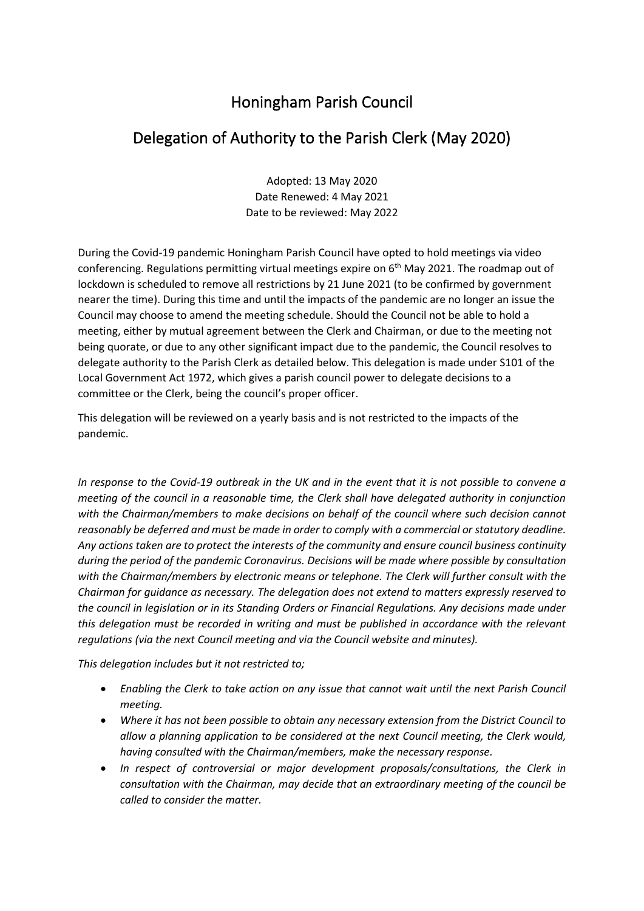## Honingham Parish Council

## Delegation of Authority to the Parish Clerk (May 2020)

Adopted: 13 May 2020 Date Renewed: 4 May 2021 Date to be reviewed: May 2022

During the Covid-19 pandemic Honingham Parish Council have opted to hold meetings via video conferencing. Regulations permitting virtual meetings expire on 6<sup>th</sup> May 2021. The roadmap out of lockdown is scheduled to remove all restrictions by 21 June 2021 (to be confirmed by government nearer the time). During this time and until the impacts of the pandemic are no longer an issue the Council may choose to amend the meeting schedule. Should the Council not be able to hold a meeting, either by mutual agreement between the Clerk and Chairman, or due to the meeting not being quorate, or due to any other significant impact due to the pandemic, the Council resolves to delegate authority to the Parish Clerk as detailed below. This delegation is made under S101 of the Local Government Act 1972, which gives a parish council power to delegate decisions to a committee or the Clerk, being the council's proper officer.

This delegation will be reviewed on a yearly basis and is not restricted to the impacts of the pandemic.

*In response to the Covid-19 outbreak in the UK and in the event that it is not possible to convene a meeting of the council in a reasonable time, the Clerk shall have delegated authority in conjunction with the Chairman/members to make decisions on behalf of the council where such decision cannot reasonably be deferred and must be made in order to comply with a commercial or statutory deadline. Any actions taken are to protect the interests of the community and ensure council business continuity during the period of the pandemic Coronavirus. Decisions will be made where possible by consultation with the Chairman/members by electronic means or telephone. The Clerk will further consult with the Chairman for guidance as necessary. The delegation does not extend to matters expressly reserved to the council in legislation or in its Standing Orders or Financial Regulations. Any decisions made under this delegation must be recorded in writing and must be published in accordance with the relevant regulations (via the next Council meeting and via the Council website and minutes).* 

*This delegation includes but it not restricted to;*

- *Enabling the Clerk to take action on any issue that cannot wait until the next Parish Council meeting.*
- *Where it has not been possible to obtain any necessary extension from the District Council to allow a planning application to be considered at the next Council meeting, the Clerk would, having consulted with the Chairman/members, make the necessary response.*
- *In respect of controversial or major development proposals/consultations, the Clerk in consultation with the Chairman, may decide that an extraordinary meeting of the council be called to consider the matter.*